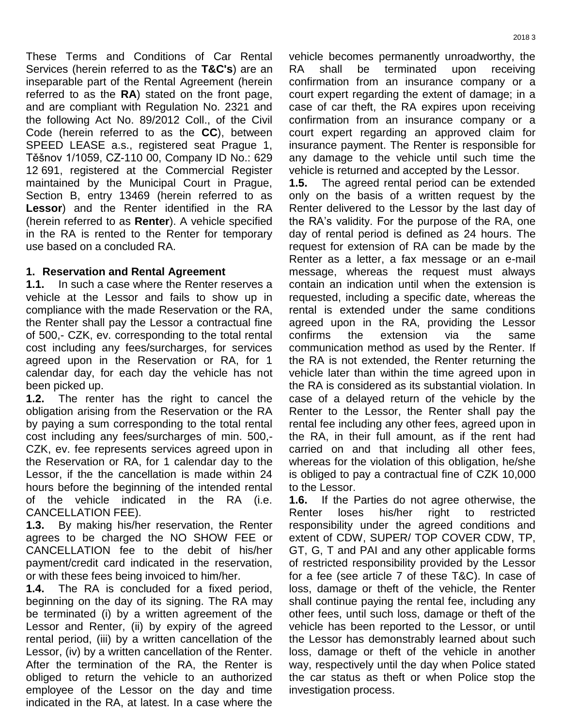These Terms and Conditions of Car Rental Services (herein referred to as the **T&C's**) are an inseparable part of the Rental Agreement (herein referred to as the **RA**) stated on the front page, and are compliant with Regulation No. 2321 and the following Act No. 89/2012 Coll., of the Civil Code (herein referred to as the **CC**), between SPEED LEASE a.s., registered seat Prague 1, Těšnov 1/1059, CZ-110 00, Company ID No.: 629 12 691, registered at the Commercial Register maintained by the Municipal Court in Prague, Section B, entry 13469 (herein referred to as **Lessor**) and the Renter identified in the RA (herein referred to as **Renter**). A vehicle specified in the RA is rented to the Renter for temporary use based on a concluded RA.

# **1. Reservation and Rental Agreement**

**1.1.** In such a case where the Renter reserves a vehicle at the Lessor and fails to show up in compliance with the made Reservation or the RA, the Renter shall pay the Lessor a contractual fine of 500,- CZK, ev. corresponding to the total rental cost including any fees/surcharges, for services agreed upon in the Reservation or RA, for 1 calendar day, for each day the vehicle has not been picked up.

**1.2.** The renter has the right to cancel the obligation arising from the Reservation or the RA by paying a sum corresponding to the total rental cost including any fees/surcharges of min. 500,- CZK, ev. fee represents services agreed upon in the Reservation or RA, for 1 calendar day to the Lessor, if the the cancellation is made within 24 hours before the beginning of the intended rental of the vehicle indicated in the RA (i.e. CANCELLATION FEE).

**1.3.** By making his/her reservation, the Renter agrees to be charged the NO SHOW FEE or CANCELLATION fee to the debit of his/her payment/credit card indicated in the reservation, or with these fees being invoiced to him/her.

**1.4.** The RA is concluded for a fixed period, beginning on the day of its signing. The RA may be terminated (i) by a written agreement of the Lessor and Renter, (ii) by expiry of the agreed rental period, (iii) by a written cancellation of the Lessor, (iv) by a written cancellation of the Renter. After the termination of the RA, the Renter is obliged to return the vehicle to an authorized employee of the Lessor on the day and time indicated in the RA, at latest. In a case where the

vehicle becomes permanently unroadworthy, the RA shall be terminated upon receiving confirmation from an insurance company or a court expert regarding the extent of damage; in a case of car theft, the RA expires upon receiving confirmation from an insurance company or a court expert regarding an approved claim for insurance payment. The Renter is responsible for any damage to the vehicle until such time the vehicle is returned and accepted by the Lessor.

**1.5.** The agreed rental period can be extended only on the basis of a written request by the Renter delivered to the Lessor by the last day of the RA's validity. For the purpose of the RA, one day of rental period is defined as 24 hours. The request for extension of RA can be made by the Renter as a letter, a fax message or an e-mail message, whereas the request must always contain an indication until when the extension is requested, including a specific date, whereas the rental is extended under the same conditions agreed upon in the RA, providing the Lessor confirms the extension via the same communication method as used by the Renter. If the RA is not extended, the Renter returning the vehicle later than within the time agreed upon in the RA is considered as its substantial violation. In case of a delayed return of the vehicle by the Renter to the Lessor, the Renter shall pay the rental fee including any other fees, agreed upon in the RA, in their full amount, as if the rent had carried on and that including all other fees, whereas for the violation of this obligation, he/she is obliged to pay a contractual fine of CZK 10,000 to the Lessor.

**1.6.** If the Parties do not agree otherwise, the Renter loses his/her right to restricted responsibility under the agreed conditions and extent of CDW, SUPER/ TOP COVER CDW, TP, GT, G, T and PAI and any other applicable forms of restricted responsibility provided by the Lessor for a fee (see article 7 of these T&C). In case of loss, damage or theft of the vehicle, the Renter shall continue paying the rental fee, including any other fees, until such loss, damage or theft of the vehicle has been reported to the Lessor, or until the Lessor has demonstrably learned about such loss, damage or theft of the vehicle in another way, respectively until the day when Police stated the car status as theft or when Police stop the investigation process.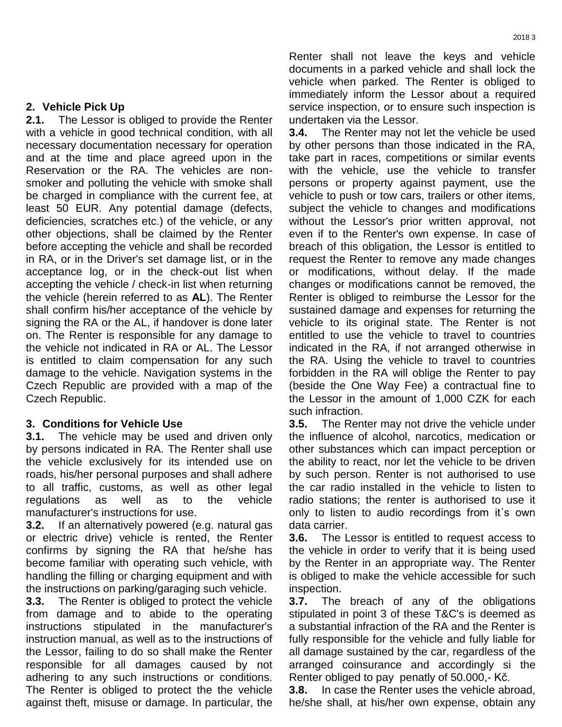### **2. Vehicle Pick Up**

**2.1.** The Lessor is obliged to provide the Renter with a vehicle in good technical condition, with all necessary documentation necessary for operation and at the time and place agreed upon in the Reservation or the RA. The vehicles are nonsmoker and polluting the vehicle with smoke shall be charged in compliance with the current fee, at least 50 EUR. Any potential damage (defects, deficiencies, scratches etc.) of the vehicle, or any other objections, shall be claimed by the Renter before accepting the vehicle and shall be recorded in RA, or in the Driver's set damage list, or in the acceptance log, or in the check-out list when accepting the vehicle / check-in list when returning the vehicle (herein referred to as **AL**). The Renter shall confirm his/her acceptance of the vehicle by signing the RA or the AL, if handover is done later on. The Renter is responsible for any damage to the vehicle not indicated in RA or AL. The Lessor is entitled to claim compensation for any such damage to the vehicle. Navigation systems in the Czech Republic are provided with a map of the Czech Republic.

# **3. Conditions for Vehicle Use**

**3.1.** The vehicle may be used and driven only by persons indicated in RA. The Renter shall use the vehicle exclusively for its intended use on roads, his/her personal purposes and shall adhere to all traffic, customs, as well as other legal regulations as well as to the vehicle manufacturer's instructions for use.

**3.2.** If an alternatively powered (e.g. natural gas or electric drive) vehicle is rented, the Renter confirms by signing the RA that he/she has become familiar with operating such vehicle, with handling the filling or charging equipment and with the instructions on parking/garaging such vehicle.

**3.3.** The Renter is obliged to protect the vehicle from damage and to abide to the operating instructions stipulated in the manufacturer's instruction manual, as well as to the instructions of the Lessor, failing to do so shall make the Renter responsible for all damages caused by not adhering to any such instructions or conditions. The Renter is obliged to protect the the vehicle against theft, misuse or damage. In particular, the Renter shall not leave the keys and vehicle documents in a parked vehicle and shall lock the vehicle when parked. The Renter is obliged to immediately inform the Lessor about a required service inspection, or to ensure such inspection is undertaken via the Lessor.

**3.4.** The Renter may not let the vehicle be used by other persons than those indicated in the RA, take part in races, competitions or similar events with the vehicle, use the vehicle to transfer persons or property against payment, use the vehicle to push or tow cars, trailers or other items, subject the vehicle to changes and modifications without the Lessor's prior written approval, not even if to the Renter's own expense. In case of breach of this obligation, the Lessor is entitled to request the Renter to remove any made changes or modifications, without delay. If the made changes or modifications cannot be removed, the Renter is obliged to reimburse the Lessor for the sustained damage and expenses for returning the vehicle to its original state. The Renter is not entitled to use the vehicle to travel to countries indicated in the RA, if not arranged otherwise in the RA. Using the vehicle to travel to countries forbidden in the RA will oblige the Renter to pay (beside the One Way Fee) a contractual fine to the Lessor in the amount of 1,000 CZK for each such infraction.

**3.5.** The Renter may not drive the vehicle under the influence of alcohol, narcotics, medication or other substances which can impact perception or the ability to react, nor let the vehicle to be driven by such person. Renter is not authorised to use the car radio installed in the vehicle to listen to radio stations; the renter is authorised to use it only to listen to audio recordings from it´s own data carrier.

**3.6.** The Lessor is entitled to request access to the vehicle in order to verify that it is being used by the Renter in an appropriate way. The Renter is obliged to make the vehicle accessible for such inspection.

**3.7.** The breach of any of the obligations stipulated in point 3 of these T&C's is deemed as a substantial infraction of the RA and the Renter is fully responsible for the vehicle and fully liable for all damage sustained by the car, regardless of the arranged coinsurance and accordingly si the Renter obliged to pay penatly of 50.000,- Kč.

**3.8.** In case the Renter uses the vehicle abroad, he/she shall, at his/her own expense, obtain any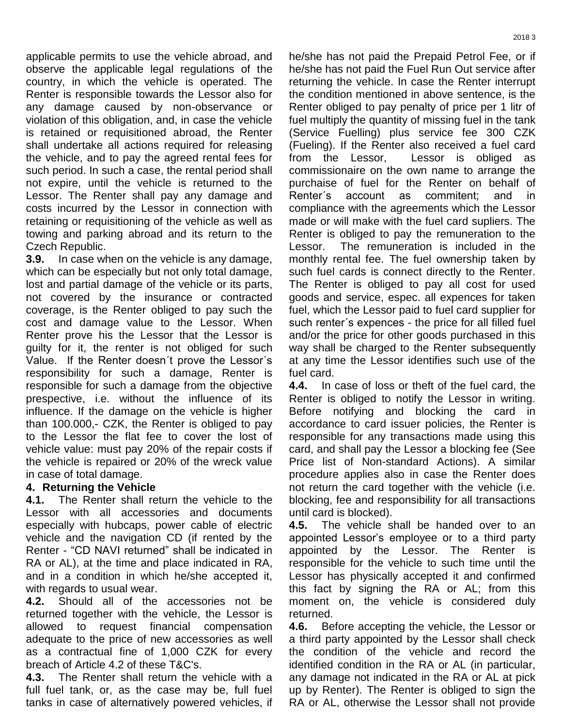applicable permits to use the vehicle abroad, and observe the applicable legal regulations of the country, in which the vehicle is operated. The Renter is responsible towards the Lessor also for any damage caused by non-observance or violation of this obligation, and, in case the vehicle is retained or requisitioned abroad, the Renter shall undertake all actions required for releasing the vehicle, and to pay the agreed rental fees for such period. In such a case, the rental period shall not expire, until the vehicle is returned to the Lessor. The Renter shall pay any damage and costs incurred by the Lessor in connection with retaining or requisitioning of the vehicle as well as towing and parking abroad and its return to the Czech Republic.

**3.9.** In case when on the vehicle is any damage, which can be especially but not only total damage, lost and partial damage of the vehicle or its parts, not covered by the insurance or contracted coverage, is the Renter obliged to pay such the cost and damage value to the Lessor. When Renter prove his the Lessor that the Lessor is guilty for it, the renter is not obliged for such Value. If the Renter doesn´t prove the Lessor´s responsibility for such a damage, Renter is responsible for such a damage from the objective prespective, i.e. without the influence of its influence. If the damage on the vehicle is higher than 100.000,- CZK, the Renter is obliged to pay to the Lessor the flat fee to cover the lost of vehicle value: must pay 20% of the repair costs if the vehicle is repaired or 20% of the wreck value in case of total damage.

# **4. Returning the Vehicle**

**4.1.** The Renter shall return the vehicle to the Lessor with all accessories and documents especially with hubcaps, power cable of electric vehicle and the navigation CD (if rented by the Renter - "CD NAVI returned" shall be indicated in RA or AL), at the time and place indicated in RA, and in a condition in which he/she accepted it, with regards to usual wear.

**4.2.** Should all of the accessories not be returned together with the vehicle, the Lessor is allowed to request financial compensation adequate to the price of new accessories as well as a contractual fine of 1,000 CZK for every breach of Article 4.2 of these T&C's.

**4.3.** The Renter shall return the vehicle with a full fuel tank, or, as the case may be, full fuel tanks in case of alternatively powered vehicles, if he/she has not paid the Prepaid Petrol Fee, or if he/she has not paid the Fuel Run Out service after returning the vehicle. In case the Renter interrupt the condition mentioned in above sentence, is the Renter obliged to pay penalty of price per 1 litr of fuel multiply the quantity of missing fuel in the tank (Service Fuelling) plus service fee 300 CZK (Fueling). If the Renter also received a fuel card from the Lessor, Lessor is obliged as commissionaire on the own name to arrange the purchaise of fuel for the Renter on behalf of Renter´s account as commitent; and in compliance with the agreements which the Lessor made or will make with the fuel card supliers. The Renter is obliged to pay the remuneration to the Lessor. The remuneration is included in the monthly rental fee. The fuel ownership taken by such fuel cards is connect directly to the Renter. The Renter is obliged to pay all cost for used goods and service, espec. all expences for taken fuel, which the Lessor paid to fuel card supplier for such renter´s expences - the price for all filled fuel and/or the price for other goods purchased in this way shall be charged to the Renter subsequently at any time the Lessor identifies such use of the fuel card.

**4.4.** In case of loss or theft of the fuel card, the Renter is obliged to notify the Lessor in writing. Before notifying and blocking the card in accordance to card issuer policies, the Renter is responsible for any transactions made using this card, and shall pay the Lessor a blocking fee (See Price list of Non-standard Actions). A similar procedure applies also in case the Renter does not return the card together with the vehicle (i.e. blocking, fee and responsibility for all transactions until card is blocked).

**4.5.** The vehicle shall be handed over to an appointed Lessor's employee or to a third party appointed by the Lessor. The Renter is responsible for the vehicle to such time until the Lessor has physically accepted it and confirmed this fact by signing the RA or AL; from this moment on, the vehicle is considered duly returned.

**4.6.** Before accepting the vehicle, the Lessor or a third party appointed by the Lessor shall check the condition of the vehicle and record the identified condition in the RA or AL (in particular, any damage not indicated in the RA or AL at pick up by Renter). The Renter is obliged to sign the RA or AL, otherwise the Lessor shall not provide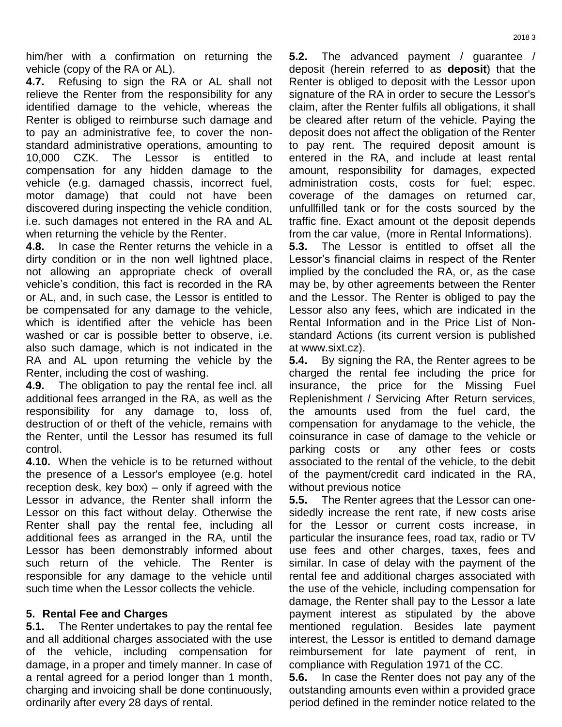him/her with a confirmation on returning the vehicle (copy of the RA or AL).

**4.7.** Refusing to sign the RA or AL shall not relieve the Renter from the responsibility for any identified damage to the vehicle, whereas the Renter is obliged to reimburse such damage and to pay an administrative fee, to cover the nonstandard administrative operations, amounting to 10,000 CZK. The Lessor is entitled to compensation for any hidden damage to the vehicle (e.g. damaged chassis, incorrect fuel, motor damage) that could not have been discovered during inspecting the vehicle condition, i.e. such damages not entered in the RA and AL when returning the vehicle by the Renter.

**4.8.** In case the Renter returns the vehicle in a dirty condition or in the non well lightned place, not allowing an appropriate check of overall vehicle's condition, this fact is recorded in the RA or AL, and, in such case, the Lessor is entitled to be compensated for any damage to the vehicle, which is identified after the vehicle has been washed or car is possible better to observe, i.e. also such damage, which is not indicated in the RA and AL upon returning the vehicle by the Renter, including the cost of washing.

**4.9.** The obligation to pay the rental fee incl. all additional fees arranged in the RA, as well as the responsibility for any damage to, loss of, destruction of or theft of the vehicle, remains with the Renter, until the Lessor has resumed its full control.

**4.10.** When the vehicle is to be returned without the presence of a Lessor's employee (e.g. hotel reception desk, key box) – only if agreed with the Lessor in advance, the Renter shall inform the Lessor on this fact without delay. Otherwise the Renter shall pay the rental fee, including all additional fees as arranged in the RA, until the Lessor has been demonstrably informed about such return of the vehicle. The Renter is responsible for any damage to the vehicle until such time when the Lessor collects the vehicle.

### **5. Rental Fee and Charges**

**5.1.** The Renter undertakes to pay the rental fee and all additional charges associated with the use of the vehicle, including compensation for damage, in a proper and timely manner. In case of a rental agreed for a period longer than 1 month, charging and invoicing shall be done continuously, ordinarily after every 28 days of rental.

**5.2.** The advanced payment / guarantee / deposit (herein referred to as **deposit**) that the Renter is obliged to deposit with the Lessor upon signature of the RA in order to secure the Lessor's claim, after the Renter fulfils all obligations, it shall be cleared after return of the vehicle. Paying the deposit does not affect the obligation of the Renter to pay rent. The required deposit amount is entered in the RA, and include at least rental amount, responsibility for damages, expected administration costs, costs for fuel; espec. coverage of the damages on returned car, unfullfilled tank or for the costs sourced by the traffic fine. Exact amount ot the deposit depends from the car value, (more in Rental Informations).

**5.3.** The Lessor is entitled to offset all the Lessor's financial claims in respect of the Renter implied by the concluded the RA, or, as the case may be, by other agreements between the Renter and the Lessor. The Renter is obliged to pay the Lessor also any fees, which are indicated in the Rental Information and in the Price List of Nonstandard Actions (its current version is published at www.sixt.cz).

**5.4.** By signing the RA, the Renter agrees to be charged the rental fee including the price for insurance, the price for the Missing Fuel Replenishment / Servicing After Return services, the amounts used from the fuel card, the compensation for anydamage to the vehicle, the coinsurance in case of damage to the vehicle or parking costs or any other fees or costs associated to the rental of the vehicle, to the debit of the payment/credit card indicated in the RA, without previous notice

**5.5.** The Renter agrees that the Lessor can onesidedly increase the rent rate, if new costs arise for the Lessor or current costs increase, in particular the insurance fees, road tax, radio or TV use fees and other charges, taxes, fees and similar. In case of delay with the payment of the rental fee and additional charges associated with the use of the vehicle, including compensation for damage, the Renter shall pay to the Lessor a late payment interest as stipulated by the above mentioned regulation. Besides late payment interest, the Lessor is entitled to demand damage reimbursement for late payment of rent, in compliance with Regulation 1971 of the CC.

**5.6.** In case the Renter does not pay any of the outstanding amounts even within a provided grace period defined in the reminder notice related to the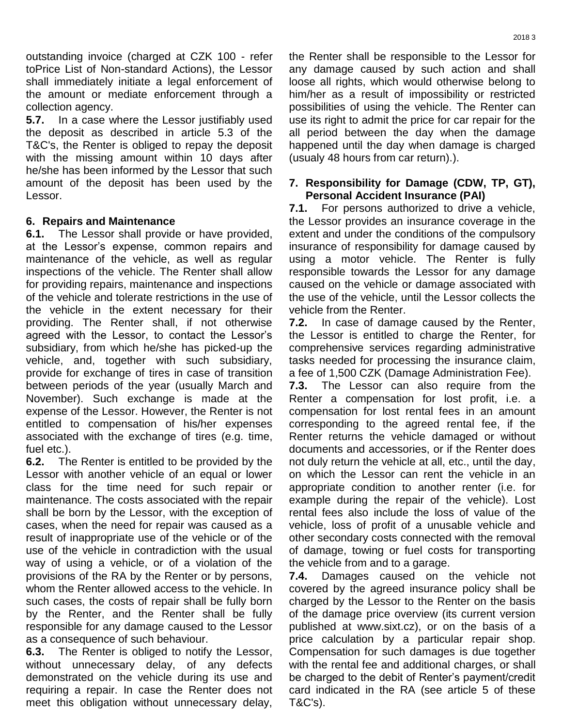outstanding invoice (charged at CZK 100 - refer toPrice List of Non-standard Actions), the Lessor shall immediately initiate a legal enforcement of the amount or mediate enforcement through a collection agency.

**5.7.** In a case where the Lessor justifiably used the deposit as described in article 5.3 of the T&C's, the Renter is obliged to repay the deposit with the missing amount within 10 days after he/she has been informed by the Lessor that such amount of the deposit has been used by the Lessor.

### **6. Repairs and Maintenance**

**6.1.** The Lessor shall provide or have provided, at the Lessor's expense, common repairs and maintenance of the vehicle, as well as regular inspections of the vehicle. The Renter shall allow for providing repairs, maintenance and inspections of the vehicle and tolerate restrictions in the use of the vehicle in the extent necessary for their providing. The Renter shall, if not otherwise agreed with the Lessor, to contact the Lessor's subsidiary, from which he/she has picked-up the vehicle, and, together with such subsidiary, provide for exchange of tires in case of transition between periods of the year (usually March and November). Such exchange is made at the expense of the Lessor. However, the Renter is not entitled to compensation of his/her expenses associated with the exchange of tires (e.g. time, fuel etc.).

**6.2.** The Renter is entitled to be provided by the Lessor with another vehicle of an equal or lower class for the time need for such repair or maintenance. The costs associated with the repair shall be born by the Lessor, with the exception of cases, when the need for repair was caused as a result of inappropriate use of the vehicle or of the use of the vehicle in contradiction with the usual way of using a vehicle, or of a violation of the provisions of the RA by the Renter or by persons, whom the Renter allowed access to the vehicle. In such cases, the costs of repair shall be fully born by the Renter, and the Renter shall be fully responsible for any damage caused to the Lessor as a consequence of such behaviour.

**6.3.** The Renter is obliged to notify the Lessor, without unnecessary delay, of any defects demonstrated on the vehicle during its use and requiring a repair. In case the Renter does not meet this obligation without unnecessary delay,

the Renter shall be responsible to the Lessor for any damage caused by such action and shall loose all rights, which would otherwise belong to him/her as a result of impossibility or restricted possibilities of using the vehicle. The Renter can use its right to admit the price for car repair for the all period between the day when the damage happened until the day when damage is charged (usualy 48 hours from car return).).

#### **7. Responsibility for Damage (CDW, TP, GT), Personal Accident Insurance (PAI)**

**7.1.** For persons authorized to drive a vehicle, the Lessor provides an insurance coverage in the extent and under the conditions of the compulsory insurance of responsibility for damage caused by using a motor vehicle. The Renter is fully responsible towards the Lessor for any damage caused on the vehicle or damage associated with the use of the vehicle, until the Lessor collects the vehicle from the Renter.

**7.2.** In case of damage caused by the Renter, the Lessor is entitled to charge the Renter, for comprehensive services regarding administrative tasks needed for processing the insurance claim, a fee of 1,500 CZK (Damage Administration Fee).

**7.3.** The Lessor can also require from the Renter a compensation for lost profit, i.e. a compensation for lost rental fees in an amount corresponding to the agreed rental fee, if the Renter returns the vehicle damaged or without documents and accessories, or if the Renter does not duly return the vehicle at all, etc., until the day, on which the Lessor can rent the vehicle in an appropriate condition to another renter (i.e. for example during the repair of the vehicle). Lost rental fees also include the loss of value of the vehicle, loss of profit of a unusable vehicle and other secondary costs connected with the removal of damage, towing or fuel costs for transporting the vehicle from and to a garage.

**7.4.** Damages caused on the vehicle not covered by the agreed insurance policy shall be charged by the Lessor to the Renter on the basis of the damage price overview (its current version published at www.sixt.cz), or on the basis of a price calculation by a particular repair shop. Compensation for such damages is due together with the rental fee and additional charges, or shall be charged to the debit of Renter's payment/credit card indicated in the RA (see article 5 of these T&C's).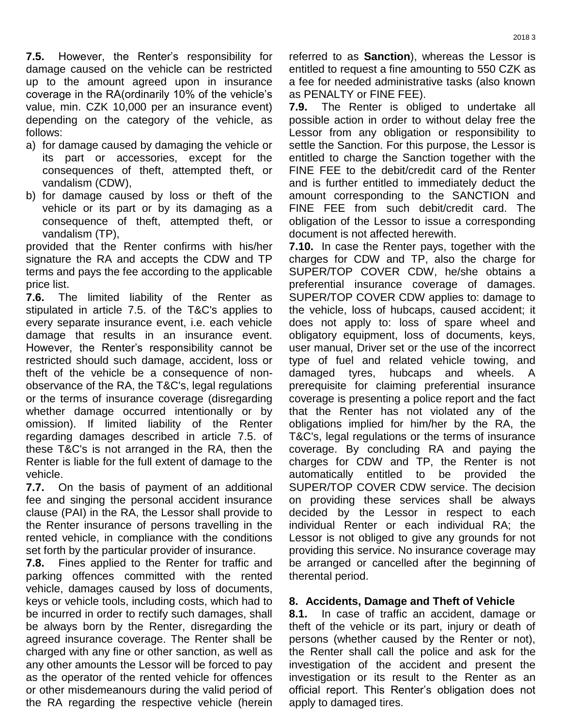**7.5.** However, the Renter's responsibility for damage caused on the vehicle can be restricted up to the amount agreed upon in insurance coverage in the RA(ordinarily 10% of the vehicle's value, min. CZK 10,000 per an insurance event) depending on the category of the vehicle, as follows:

- a) for damage caused by damaging the vehicle or its part or accessories, except for the consequences of theft, attempted theft, or vandalism (CDW),
- b) for damage caused by loss or theft of the vehicle or its part or by its damaging as a consequence of theft, attempted theft, or vandalism (TP),

provided that the Renter confirms with his/her signature the RA and accepts the CDW and TP terms and pays the fee according to the applicable price list.

**7.6.** The limited liability of the Renter as stipulated in article 7.5. of the T&C's applies to every separate insurance event, i.e. each vehicle damage that results in an insurance event. However, the Renter's responsibility cannot be restricted should such damage, accident, loss or theft of the vehicle be a consequence of nonobservance of the RA, the T&C's, legal regulations or the terms of insurance coverage (disregarding whether damage occurred intentionally or by omission). If limited liability of the Renter regarding damages described in article 7.5. of these T&C's is not arranged in the RA, then the Renter is liable for the full extent of damage to the vehicle.

**7.7.** On the basis of payment of an additional fee and singing the personal accident insurance clause (PAI) in the RA, the Lessor shall provide to the Renter insurance of persons travelling in the rented vehicle, in compliance with the conditions set forth by the particular provider of insurance.

**7.8.** Fines applied to the Renter for traffic and parking offences committed with the rented vehicle, damages caused by loss of documents, keys or vehicle tools, including costs, which had to be incurred in order to rectify such damages, shall be always born by the Renter, disregarding the agreed insurance coverage. The Renter shall be charged with any fine or other sanction, as well as any other amounts the Lessor will be forced to pay as the operator of the rented vehicle for offences or other misdemeanours during the valid period of the RA regarding the respective vehicle (herein referred to as **Sanction**), whereas the Lessor is entitled to request a fine amounting to 550 CZK as a fee for needed administrative tasks (also known as PENALTY or FINE FEE).

**7.9.** The Renter is obliged to undertake all possible action in order to without delay free the Lessor from any obligation or responsibility to settle the Sanction. For this purpose, the Lessor is entitled to charge the Sanction together with the FINE FEE to the debit/credit card of the Renter and is further entitled to immediately deduct the amount corresponding to the SANCTION and FINE FEE from such debit/credit card. The obligation of the Lessor to issue a corresponding document is not affected herewith.

**7.10.** In case the Renter pays, together with the charges for CDW and TP, also the charge for SUPER/TOP COVER CDW, he/she obtains a preferential insurance coverage of damages. SUPER/TOP COVER CDW applies to: damage to the vehicle, loss of hubcaps, caused accident; it does not apply to: loss of spare wheel and obligatory equipment, loss of documents, keys, user manual, Driver set or the use of the incorrect type of fuel and related vehicle towing, and damaged tyres, hubcaps and wheels. A prerequisite for claiming preferential insurance coverage is presenting a police report and the fact that the Renter has not violated any of the obligations implied for him/her by the RA, the T&C's, legal regulations or the terms of insurance coverage. By concluding RA and paying the charges for CDW and TP, the Renter is not automatically entitled to be provided the SUPER/TOP COVER CDW service. The decision on providing these services shall be always decided by the Lessor in respect to each individual Renter or each individual RA; the Lessor is not obliged to give any grounds for not providing this service. No insurance coverage may be arranged or cancelled after the beginning of therental period.

### **8. Accidents, Damage and Theft of Vehicle**

**8.1.** In case of traffic an accident, damage or theft of the vehicle or its part, injury or death of persons (whether caused by the Renter or not), the Renter shall call the police and ask for the investigation of the accident and present the investigation or its result to the Renter as an official report. This Renter's obligation does not apply to damaged tires.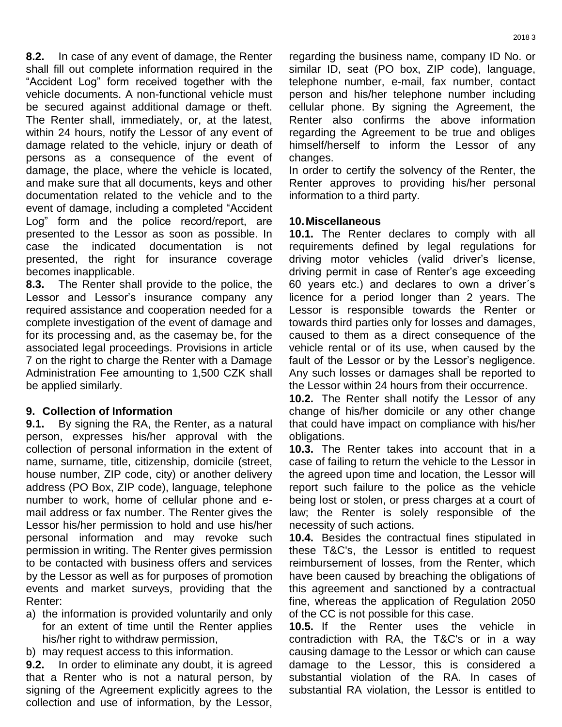**8.2.** In case of any event of damage, the Renter shall fill out complete information required in the "Accident Log" form received together with the vehicle documents. A non-functional vehicle must be secured against additional damage or theft. The Renter shall, immediately, or, at the latest, within 24 hours, notify the Lessor of any event of damage related to the vehicle, injury or death of persons as a consequence of the event of damage, the place, where the vehicle is located, and make sure that all documents, keys and other documentation related to the vehicle and to the event of damage, including a completed "Accident Log" form and the police record/report, are presented to the Lessor as soon as possible. In case the indicated documentation is not presented, the right for insurance coverage becomes inapplicable.

**8.3.** The Renter shall provide to the police, the Lessor and Lessor's insurance company any required assistance and cooperation needed for a complete investigation of the event of damage and for its processing and, as the casemay be, for the associated legal proceedings. Provisions in article 7 on the right to charge the Renter with a Damage Administration Fee amounting to 1,500 CZK shall be applied similarly.

# **9. Collection of Information**

**9.1.** By signing the RA, the Renter, as a natural person, expresses his/her approval with the collection of personal information in the extent of name, surname, title, citizenship, domicile (street, house number, ZIP code, city) or another delivery address (PO Box, ZIP code), language, telephone number to work, home of cellular phone and email address or fax number. The Renter gives the Lessor his/her permission to hold and use his/her personal information and may revoke such permission in writing. The Renter gives permission to be contacted with business offers and services by the Lessor as well as for purposes of promotion events and market surveys, providing that the Renter:

- a) the information is provided voluntarily and only for an extent of time until the Renter applies his/her right to withdraw permission,
- b) may request access to this information.

**9.2.** In order to eliminate any doubt, it is agreed that a Renter who is not a natural person, by signing of the Agreement explicitly agrees to the collection and use of information, by the Lessor,

regarding the business name, company ID No. or similar ID, seat (PO box, ZIP code), language, telephone number, e-mail, fax number, contact person and his/her telephone number including cellular phone. By signing the Agreement, the Renter also confirms the above information regarding the Agreement to be true and obliges himself/herself to inform the Lessor of any changes.

In order to certify the solvency of the Renter, the Renter approves to providing his/her personal information to a third party.

### **10.Miscellaneous**

**10.1.** The Renter declares to comply with all requirements defined by legal regulations for driving motor vehicles (valid driver's license, driving permit in case of Renter's age exceeding 60 years etc.) and declares to own a driver´s licence for a period longer than 2 years. The Lessor is responsible towards the Renter or towards third parties only for losses and damages, caused to them as a direct consequence of the vehicle rental or of its use, when caused by the fault of the Lessor or by the Lessor's negligence. Any such losses or damages shall be reported to the Lessor within 24 hours from their occurrence.

**10.2.** The Renter shall notify the Lessor of any change of his/her domicile or any other change that could have impact on compliance with his/her obligations.

**10.3.** The Renter takes into account that in a case of failing to return the vehicle to the Lessor in the agreed upon time and location, the Lessor will report such failure to the police as the vehicle being lost or stolen, or press charges at a court of law; the Renter is solely responsible of the necessity of such actions.

**10.4.** Besides the contractual fines stipulated in these T&C's, the Lessor is entitled to request reimbursement of losses, from the Renter, which have been caused by breaching the obligations of this agreement and sanctioned by a contractual fine, whereas the application of Regulation 2050 of the CC is not possible for this case.

**10.5.** If the Renter uses the vehicle in contradiction with RA, the T&C's or in a way causing damage to the Lessor or which can cause damage to the Lessor, this is considered a substantial violation of the RA. In cases of substantial RA violation, the Lessor is entitled to